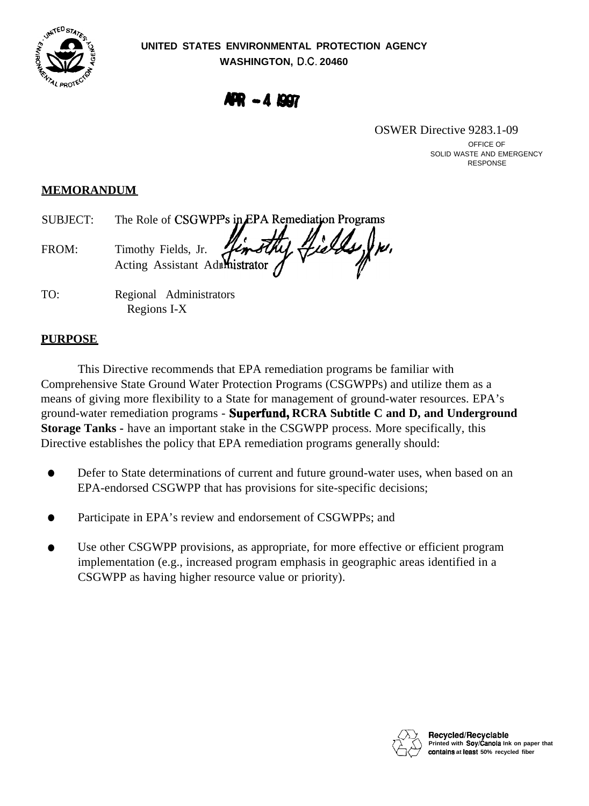

**AFR - 4 1997** 

OSWER Directive 9283.1-09

OFFICE OF SOLID WASTE AND EMERGENCY RESPONSE

## **MEMORANDUM**

SUBJECT: The Role of CSGWPPs in EPA Remediation Programs FROM: Timothy Fields, Jr. Acting Assistant Administrator  $\int d^4x\,$ 

TO: Regional Administrators Regions I-X

# **PURPOSE**

This Directive recommends that EPA remediation programs be familiar with Comprehensive State Ground Water Protection Programs (CSGWPPs) and utilize them as a means of giving more flexibility to a State for management of ground-water resources. EPA's ground-water remediation programs - **Superfund, RCRA Subtitle C and D, and Underground Storage Tanks -** have an important stake in the CSGWPP process. More specifically, this Directive establishes the policy that EPA remediation programs generally should:

- $\bullet$  Defer to State determinations of current and future ground-water uses, when based on an EPA-endorsed CSGWPP that has provisions for site-specific decisions;
- Participate in EPA's review and endorsement of CSGWPPs; and
- Use other CSGWPP provisions, as appropriate, for more effective or efficient program implementation (e.g., increased program emphasis in geographic areas identified in a CSGWPP as having higher resource value or priority).

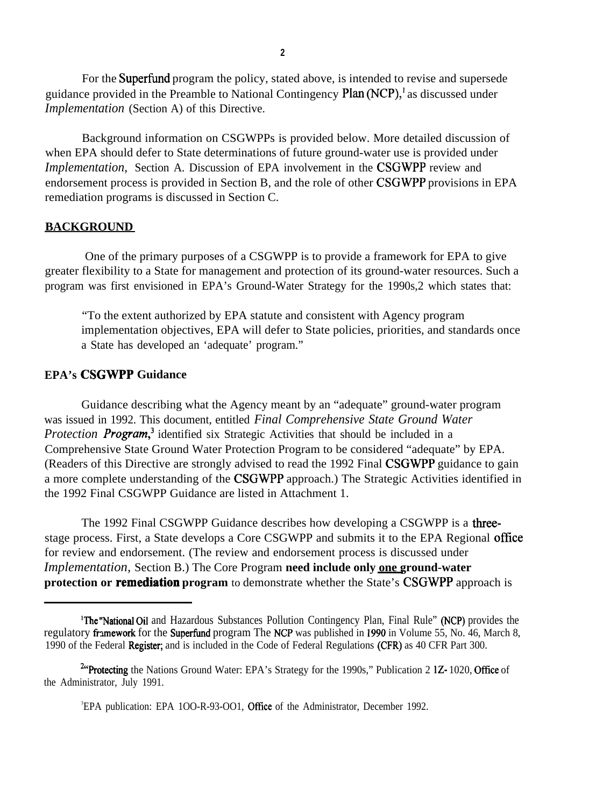For the Superfund program the policy, stated above, is intended to revise and supersede guidance provided in the Preamble to National Contingency  $Plan(NCP)$ , as discussed under *Implementation* (Section A) of this Directive.

Background information on CSGWPPs is provided below. More detailed discussion of when EPA should defer to State determinations of future ground-water use is provided under *Implementation,* Section A. Discussion of EPA involvement in the CSGWPP review and endorsement process is provided in Section B, and the role of other CSGWPP provisions in EPA remediation programs is discussed in Section C.

#### **BACKGROUND**

One of the primary purposes of a CSGWPP is to provide a framework for EPA to give greater flexibility to a State for management and protection of its ground-water resources. Such a program was first envisioned in EPA's Ground-Water Strategy for the 1990s,2 which states that:

"To the extent authorized by EPA statute and consistent with Agency program implementation objectives, EPA will defer to State policies, priorities, and standards once a State has developed an 'adequate' program."

#### **EPA's CSGWPP Guidance**

Guidance describing what the Agency meant by an "adequate" ground-water program was issued in 1992. This document, entitled *Final Comprehensive State Ground Water Protection Program*<sup>3</sup> identified six Strategic Activities that should be included in a Comprehensive State Ground Water Protection Program to be considered "adequate" by EPA. (Readers of this Directive are strongly advised to read the 1992 Final CSGWPP guidance to gain a more complete understanding of the CSGWPP approach.) The Strategic Activities identified in the 1992 Final CSGWPP Guidance are listed in Attachment 1.

The 1992 Final CSGWPP Guidance describes how developing a CSGWPP is a threestage process. First, a State develops a Core CSGWPP and submits it to the EPA Regional office for review and endorsement. (The review and endorsement process is discussed under *Implementation,* Section B.) The Core Program **need include only one ground-water protection or remediation program** to demonstrate whether the State's CSGWPP approach is

<sup>&#</sup>x27;The "National Oil and Hazardous Substances Pollution Contingency Plan, Final Rule" (NCP) provides the regulatory framework for the Superfund program The NCP was published in 1990 in Volume 55, No. 46, March 8, 1990 of the Federal Register; and is included in the Code of Federal Regulations (CFR) as 40 CFR Part 300.

<sup>&</sup>lt;sup>2"</sup>Protecting the Nations Ground Water: EPA's Strategy for the 1990s," Publication 2 1Z-1020, Office of the Administrator, July 1991.

<sup>&</sup>lt;sup>3</sup>EPA publication: EPA 100-R-93-001, Office of the Administrator, December 1992.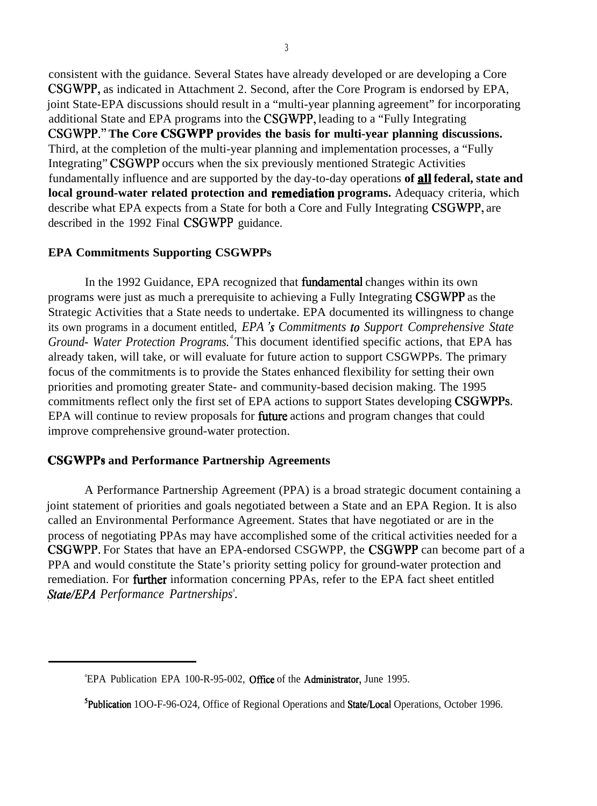consistent with the guidance. Several States have already developed or are developing a Core CSGWPP, as indicated in Attachment 2. Second, after the Core Program is endorsed by EPA, joint State-EPA discussions should result in a "multi-year planning agreement" for incorporating additional State and EPA programs into the CSGWPP, leading to a "Fully Integrating CSGWPP." **The Core CSGWPP provides the basis for multi-year planning discussions.**  Third, at the completion of the multi-year planning and implementation processes, a "Fully Integrating" CSGWPP occurs when the six previously mentioned Strategic Activities fundamentally influence and are supported by the day-to-day operations of **all federal, state and local ground-water related protection and remediation programs.** Adequacy criteria, which describe what EPA expects from a State for both a Core and Fully Integrating CSGWPP, are described in the 1992 Final CSGWPP guidance.

### **EPA Commitments Supporting CSGWPPs**

In the 1992 Guidance, EPA recognized that fimdamental changes within its own programs were just as much a prerequisite to achieving a Fully Integrating CSGWPP as the Strategic Activities that a State needs to undertake. EPA documented its willingness to change its own programs in a document entitled, *EPA* 's *Commitments to Support Comprehensive State Ground- Water Protection Programs. <sup>4</sup>*This document identified specific actions, that EPA has already taken, will take, or will evaluate for future action to support CSGWPPs. The primary focus of the commitments is to provide the States enhanced flexibility for setting their own priorities and promoting greater State- and community-based decision making. The 1995 commitments reflect only the first set of EPA actions to support States developing CSGWPPS. EPA will continue to review proposals for **future** actions and program changes that could improve comprehensive ground-water protection.

### **CSGWPPS and Performance Partnership Agreements**

A Performance Partnership Agreement (PPA) is a broad strategic document containing a joint statement of priorities and goals negotiated between a State and an EPA Region. It is also called an Environmental Performance Agreement. States that have negotiated or are in the process of negotiating PPAs may have accomplished some of the critical activities needed for a CSGWPP. For States that have an EPA-endorsed CSGWPP, the CSGWPP can become part of a PPA and would constitute the State's priority setting policy for ground-water protection and *. &ate/EPA Performance Partnerships<sup>s</sup>* remediation. For **further** information concerning PPAs, refer to the EPA fact sheet entitled

<sup>&</sup>lt;sup>4</sup>EPA Publication EPA 100-R-95-002, Office of the Administrator, June 1995.

<sup>5</sup>Publication 1OO-F-96-O24, Office of Regional Operations and State/Local Operations, October 1996.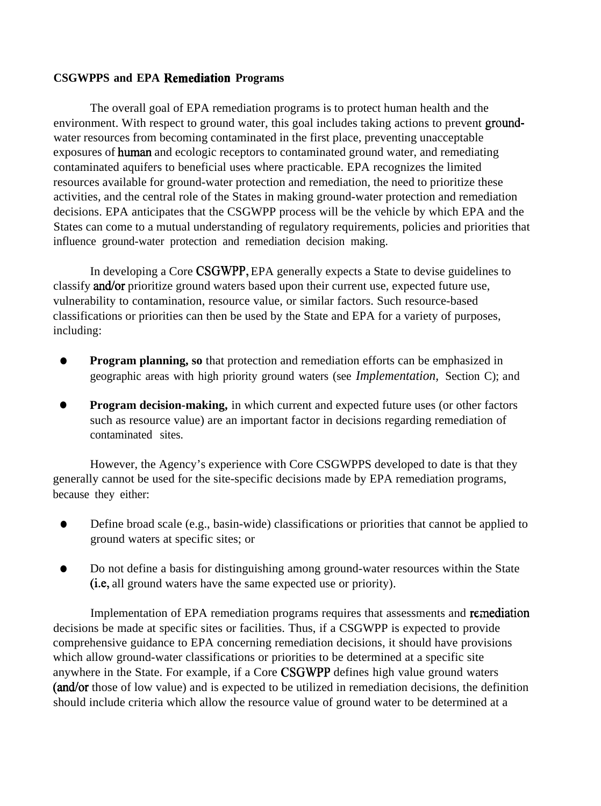### **CSGWPPS and EPA Remediation Programs**

The overall goal of EPA remediation programs is to protect human health and the environment. With respect to ground water, this goal includes taking actions to prevent groundwater resources from becoming contaminated in the first place, preventing unacceptable exposures of human and ecologic receptors to contaminated ground water, and remediating contaminated aquifers to beneficial uses where practicable. EPA recognizes the limited resources available for ground-water protection and remediation, the need to prioritize these activities, and the central role of the States in making ground-water protection and remediation decisions. EPA anticipates that the CSGWPP process will be the vehicle by which EPA and the States can come to a mutual understanding of regulatory requirements, policies and priorities that influence ground-water protection and remediation decision making.

In developing a Core CSGWPP, EPA generally expects a State to devise guidelines to classify and/or prioritize ground waters based upon their current use, expected future use, vulnerability to contamination, resource value, or similar factors. Such resource-based classifications or priorities can then be used by the State and EPA for a variety of purposes, including:

- **Program planning, so** that protection and remediation efforts can be emphasized in geographic areas with high priority ground waters (see *Implementation,* Section C); and
- **Program decision-making,** in which current and expected future uses (or other factors such as resource value) are an important factor in decisions regarding remediation of contaminated sites.

However, the Agency's experience with Core CSGWPPS developed to date is that they generally cannot be used for the site-specific decisions made by EPA remediation programs, because they either:

- $\bullet$  Define broad scale (e.g., basin-wide) classifications or priorities that cannot be applied to ground waters at specific sites; or
- $\bullet$  Do not define a basis for distinguishing among ground-water resources within the State (i.e, all ground waters have the same expected use or priority).

Implementation of EPA remediation programs requires that assessments and remediation decisions be made at specific sites or facilities. Thus, if a CSGWPP is expected to provide comprehensive guidance to EPA concerning remediation decisions, it should have provisions which allow ground-water classifications or priorities to be determined at a specific site anywhere in the State. For example, if a Core CSGWPP defines high value ground waters (and/or those of low value) and is expected to be utilized in remediation decisions, the definition should include criteria which allow the resource value of ground water to be determined at a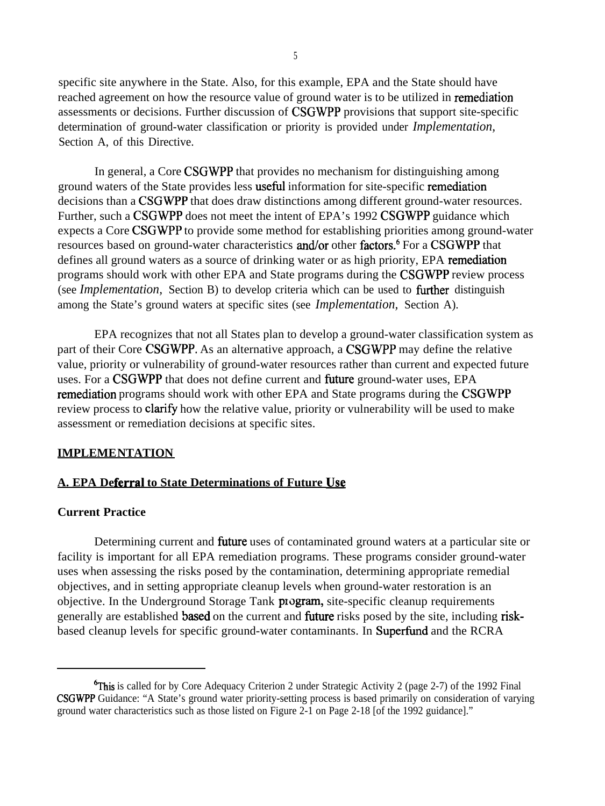specific site anywhere in the State. Also, for this example, EPA and the State should have reached agreement on how the resource value of ground water is to be utilized in remediation assessments or decisions. Further discussion of CSGWPP provisions that support site-specific determination of ground-water classification or priority is provided under *Implementation,*  Section A, of this Directive.

In general, a Core CSGWPP that provides no mechanism for distinguishing among ground waters of the State provides less usefid information for site-specific remediation decisions than a CSGWPP that does draw distinctions among different ground-water resources. Further, such a CSGWPP does not meet the intent of EPA's 1992 CSGWPP guidance which expects a Core CSGWPP to provide some method for establishing priorities among ground-water resources based on ground-water characteristics and/or other factors.<sup>6</sup> For a CSGWPP that defines all ground waters as a source of drinking water or as high priority, EPA remediation programs should work with other EPA and State programs during the CSGWPP review process (see *Implementation*, Section B) to develop criteria which can be used to further distinguish among the State's ground waters at specific sites (see *Implementation,* Section A).

EPA recognizes that not all States plan to develop a ground-water classification system as part of their Core CSGWPP. As an alternative approach, a CSGWPP may define the relative value, priority or vulnerability of ground-water resources rather than current and expected future uses. For a CSGWPP that does not define current and fiture ground-water uses, EPA remediation programs should work with other EPA and State programs during the CSGWPP review process to **clarify** how the relative value, priority or vulnerability will be used to make assessment or remediation decisions at specific sites.

#### **IMPLEMENTATION**

### **A. EPA Deferral to State Determinations of Future USQ**

#### **Current Practice**

Determining current and **future** uses of contaminated ground waters at a particular site or facility is important for all EPA remediation programs. These programs consider ground-water uses when assessing the risks posed by the contamination, determining appropriate remedial objectives, and in setting appropriate cleanup levels when ground-water restoration is an objective. In the Underground Storage Tank program, site-specific cleanup requirements generally are established **based** on the current and **future** risks posed by the site, including riskbased cleanup levels for specific ground-water contaminants. In Superfund and the RCRA

<sup>&</sup>lt;sup>6</sup>This is called for by Core Adequacy Criterion 2 under Strategic Activity 2 (page 2-7) of the 1992 Final CSGWPP Guidance: "A State's ground water priority-setting process is based primarily on consideration of varying ground water characteristics such as those listed on Figure 2-1 on Page 2-18 [of the 1992 guidance]."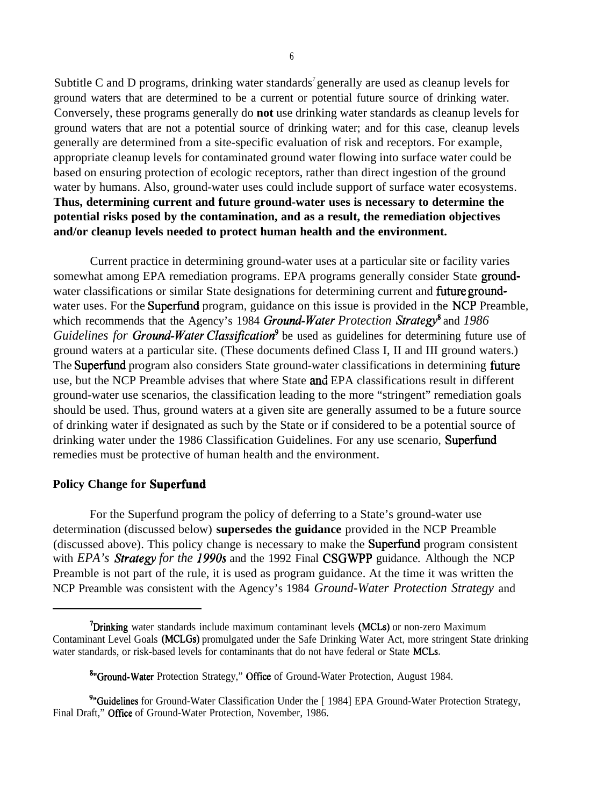Subtitle C and D programs, drinking water standards<sup>7</sup> generally are used as cleanup levels for ground waters that are determined to be a current or potential future source of drinking water. Conversely, these programs generally do **not** use drinking water standards as cleanup levels for ground waters that are not a potential source of drinking water; and for this case, cleanup levels generally are determined from a site-specific evaluation of risk and receptors. For example, appropriate cleanup levels for contaminated ground water flowing into surface water could be based on ensuring protection of ecologic receptors, rather than direct ingestion of the ground water by humans. Also, ground-water uses could include support of surface water ecosystems. **Thus, determining current and future ground-water uses is necessary to determine the potential risks posed by the contamination, and as a result, the remediation objectives and/or cleanup levels needed to protect human health and the environment.** 

Current practice in determining ground-water uses at a particular site or facility varies somewhat among EPA remediation programs. EPA programs generally consider State groundwater classifications or similar State designations for determining current and future groundwater uses. For the **Superfund** program, guidance on this issue is provided in the NCP Preamble, which recommends that the Agency's 1984 *Ground-Water Protection Strategy*<sup>8</sup> and 1986 *Guidelines for Ground-Water Classification*<sup>9</sup> be used as guidelines for determining future use of ground waters at a particular site. (These documents defined Class I, II and III ground waters.) The Superfund program also considers State ground-water classifications in determining future use, but the NCP Preamble advises that where State and EPA classifications result in different ground-water use scenarios, the classification leading to the more "stringent" remediation goals should be used. Thus, ground waters at a given site are generally assumed to be a future source of drinking water if designated as such by the State or if considered to be a potential source of drinking water under the 1986 Classification Guidelines. For any use scenario, Superfund remedies must be protective of human health and the environment.

#### **Policy Change for Superfund**

For the Superfund program the policy of deferring to a State's ground-water use determination (discussed below) **supersedes the guidance** provided in the NCP Preamble (discussed above). This policy change is necessary to make the Superfund program consistent with *EPA's Strategy for the 1990s* and the 1992 Final CSGWPP guidance. Although the NCP Preamble is not part of the rule, it is used as program guidance. At the time it was written the NCP Preamble was consistent with the Agency's 1984 *Ground-Water Protection Strategy* and

<sup>&</sup>lt;sup>7</sup>Drinking water standards include maximum contaminant levels (MCLs) or non-zero Maximum Contaminant Level Goals (MCLGS) promulgated under the Safe Drinking Water Act, more stringent State drinking water standards, or risk-based levels for contaminants that do not have federal or State MCLS.

<sup>&</sup>lt;sup>8</sup> Ground-Water Protection Strategy," Office of Ground-Water Protection, August 1984.

<sup>&</sup>lt;sup>9</sup>"Guidelines for Ground-Water Classification Under the [1984] EPA Ground-Water Protection Strategy, Final Draft," Office of Ground-Water Protection, November, 1986.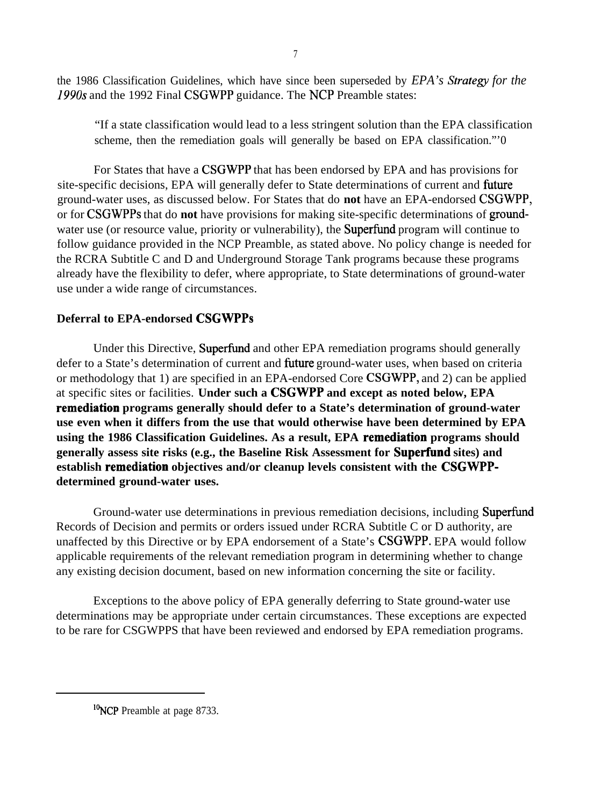the 1986 Classification Guidelines, which have since been superseded by *EPA's Strategy for the 1990s* and the 1992 Final CSGWPP guidance. The NCP Preamble states:

"If a state classification would lead to a less stringent solution than the EPA classification scheme, then the remediation goals will generally be based on EPA classification."'0

For States that have a CSGWPP that has been endorsed by EPA and has provisions for site-specific decisions, EPA will generally defer to State determinations of current and fhture ground-water uses, as discussed below. For States that do **not** have an EPA-endorsed CSGWPP, or for CSGWPPS that do **not** have provisions for making site-specific determinations of groundwater use (or resource value, priority or vulnerability), the **Superfund** program will continue to follow guidance provided in the NCP Preamble, as stated above. No policy change is needed for the RCRA Subtitle C and D and Underground Storage Tank programs because these programs already have the flexibility to defer, where appropriate, to State determinations of ground-water use under a wide range of circumstances.

### **Deferral to EPA-endorsed CSGWPPS**

Under this Directive, Superfund and other EPA remediation programs should generally defer to a State's determination of current and fiture ground-water uses, when based on criteria or methodology that 1) are specified in an EPA-endorsed Core CSGWPP, and 2) can be applied at specific sites or facilities. **Under such a CSGWPP and except as noted below, EPA remediation programs generally should defer to a State's determination of ground-water use even when it differs from the use that would otherwise have been determined by EPA using the 1986 Classification Guidelines. As a result, EPA remediation programs should generally assess site risks (e.g., the Baseline Risk Assessment for Superfund sites) and establish remediation objectives and/or cleanup levels consistent with the CSGWPPdetermined ground-water uses.** 

Ground-water use determinations in previous remediation decisions, including Superfund Records of Decision and permits or orders issued under RCRA Subtitle C or D authority, are unaffected by this Directive or by EPA endorsement of a State's CSGWPP. EPA would follow applicable requirements of the relevant remediation program in determining whether to change any existing decision document, based on new information concerning the site or facility.

Exceptions to the above policy of EPA generally deferring to State ground-water use determinations may be appropriate under certain circumstances. These exceptions are expected to be rare for CSGWPPS that have been reviewed and endorsed by EPA remediation programs.

<sup>&</sup>lt;sup>10</sup>NCP Preamble at page 8733.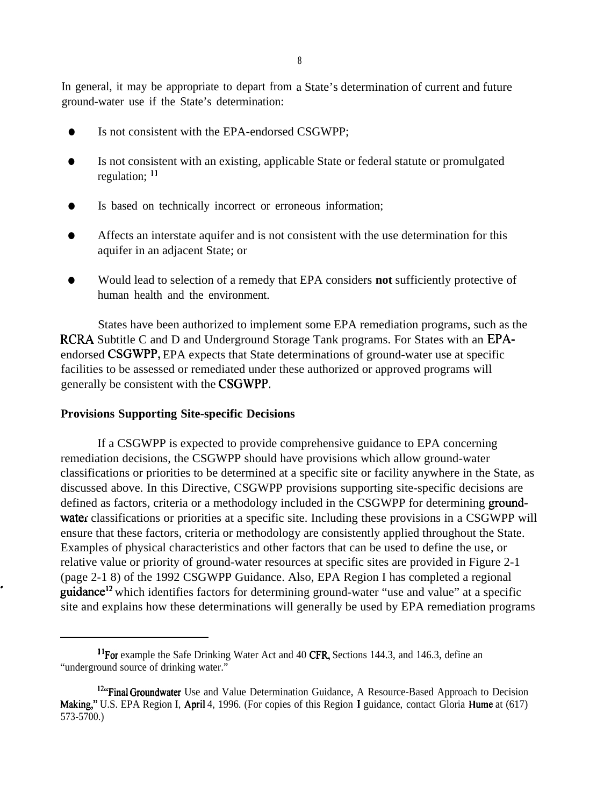8

In general, it may be appropriate to depart from a State's determination of current and future ground-water use if the State's determination:

- � Is not consistent with the EPA-endorsed CSGWPP;
- $\bullet$ Is not consistent with an existing, applicable State or federal statute or promulgated regulation; <sup>11</sup>
- $\bullet$ Is based on technically incorrect or erroneous information;
- $\bullet$ Affects an interstate aquifer and is not consistent with the use determination for this aquifer in an adjacent State; or
- $\bullet$ Would lead to selection of a remedy that EPA considers **not** sufficiently protective of human health and the environment.

States have been authorized to implement some EPA remediation programs, such as the RCRA Subtitle C and D and Underground Storage Tank programs. For States with an EPAendorsed CSGWPP, EPA expects that State determinations of ground-water use at specific facilities to be assessed or remediated under these authorized or approved programs will generally be consistent with the CSGWPP.

#### **Provisions Supporting Site-specific Decisions**

If a CSGWPP is expected to provide comprehensive guidance to EPA concerning remediation decisions, the CSGWPP should have provisions which allow ground-water classifications or priorities to be determined at a specific site or facility anywhere in the State, as discussed above. In this Directive, CSGWPP provisions supporting site-specific decisions are defined as factors, criteria or a methodology included in the CSGWPP for determining groundwater classifications or priorities at a specific site. Including these provisions in a CSGWPP will ensure that these factors, criteria or methodology are consistently applied throughout the State. Examples of physical characteristics and other factors that can be used to define the use, or relative value or priority of ground-water resources at specific sites are provided in Figure 2-1 (page 2-1 8) of the 1992 CSGWPP Guidance. Also, EPA Region I has completed a regional guidance<sup>12</sup> which identifies factors for determining ground-water "use and value" at a specific site and explains how these determinations will generally be used by EPA remediation programs

<sup>&</sup>lt;sup>11</sup> For example the Safe Drinking Water Act and 40 CFR, Sections 144.3, and 146.3, define an "underground source of drinking water."

<sup>&</sup>lt;sup>12"</sup>Final Groundwater Use and Value Determination Guidance, A Resource-Based Approach to Decision Making:' U.S. EPA Region I, April 4, 1996. (For copies of this Region I guidance, contact Gloria Hume at (617) 573-5700.)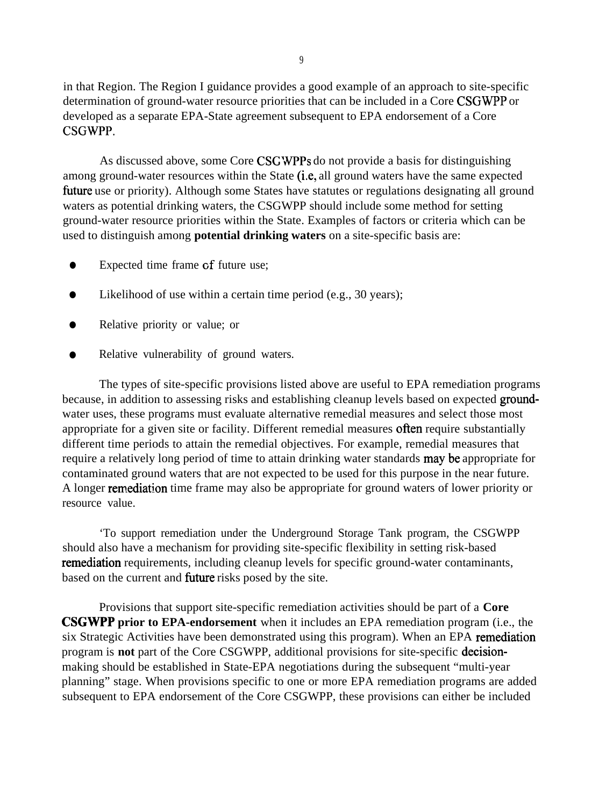in that Region. The Region I guidance provides a good example of an approach to site-specific determination of ground-water resource priorities that can be included in a Core CSGWPP or developed as a separate EPA-State agreement subsequent to EPA endorsement of a Core CSGWPP.

As discussed above, some Core CSCWPPS do not provide a basis for distinguishing among ground-water resources within the State (i.e, all ground waters have the same expected fhture use or priority). Although some States have statutes or regulations designating all ground waters as potential drinking waters, the CSGWPP should include some method for setting ground-water resource priorities within the State. Examples of factors or criteria which can be used to distinguish among **potential drinking waters** on a site-specific basis are:

- � Expected time frame Gf future use;
- Likelihood of use within a certain time period (e.g., 30 years);
- � Relative priority or value; or
- Relative vulnerability of ground waters.

The types of site-specific provisions listed above are useful to EPA remediation programs because, in addition to assessing risks and establishing cleanup levels based on expected groundwater uses, these programs must evaluate alternative remedial measures and select those most appropriate for a given site or facility. Different remedial measures often require substantially different time periods to attain the remedial objectives. For example, remedial measures that require a relatively long period of time to attain drinking water standards **may be** appropriate for contaminated ground waters that are not expected to be used for this purpose in the near future. A longer rernediation time frame may also be appropriate for ground waters of lower priority or resource value.

'To support remediation under the Underground Storage Tank program, the CSGWPP should also have a mechanism for providing site-specific flexibility in setting risk-based remediation requirements, including cleanup levels for specific ground-water contaminants, based on the current and fiture risks posed by the site.

Provisions that support site-specific remediation activities should be part of a **Core CSGWPP prior to EPA-endorsement** when it includes an EPA remediation program (i.e., the six Strategic Activities have been demonstrated using this program). When an EPA remediation program is **not** part of the Core CSGWPP, additional provisions for site-specific decisionmaking should be established in State-EPA negotiations during the subsequent "multi-year planning" stage. When provisions specific to one or more EPA remediation programs are added subsequent to EPA endorsement of the Core CSGWPP, these provisions can either be included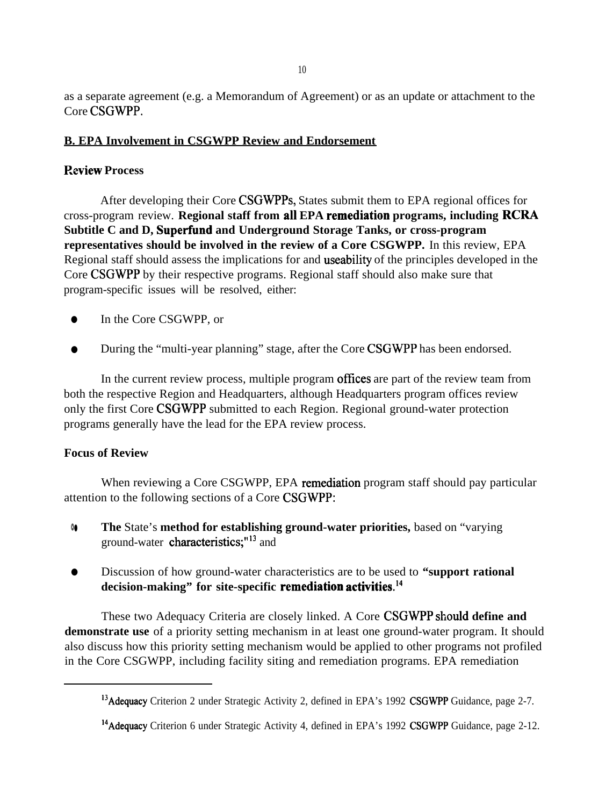as a separate agreement (e.g. a Memorandum of Agreement) or as an update or attachment to the Core CSGWPP.

### **B. EPA Involvement in CSGWPP Review and Endorsement**

### **P.eview Process**

After developing their Core CSGWPPS, States submit them to EPA regional offices for cross-program review. **Regional staff from all EPA remediation programs, including RCRA Subtitle C and D, Superfund and Underground Storage Tanks, or cross-program representatives should be involved in the review of a Core CSGWPP.** In this review, EPA Regional staff should assess the implications for and useability of the principles developed in the Core CSGWPP by their respective programs. Regional staff should also make sure that program-specific issues will be resolved, either:

- In the Core CSGWPP, or
- During the "multi-year planning" stage, after the Core CSGWPP has been endorsed.

In the current review process, multiple program offices are part of the review team from both the respective Region and Headquarters, although Headquarters program offices review only the first Core CSGWPP submitted to each Region. Regional ground-water protection programs generally have the lead for the EPA review process.

### **Focus of Review**

When reviewing a Core CSGWPP, EPA remediation program staff should pay particular attention to the following sections of a Core CSGWPP:

- �� **The** State's **method for establishing ground-water priorities,** based on "varying ground-water characteristics;"<sup>13</sup> and
- � Discussion of how ground-water characteristics are to be used to **"support rational decision-making" for site-specific remediation activities.14**

These two Adequacy Criteria are closely linked. A Core CSGWPP should **define and demonstrate use** of a priority setting mechanism in at least one ground-water program. It should also discuss how this priority setting mechanism would be applied to other programs not profiled in the Core CSGWPP, including facility siting and remediation programs. EPA remediation

<sup>&</sup>lt;sup>13</sup> Adequacy Criterion 2 under Strategic Activity 2, defined in EPA's 1992 CSGWPP Guidance, page 2-7.

<sup>&</sup>lt;sup>14</sup> Adequacy Criterion 6 under Strategic Activity 4, defined in EPA's 1992 CSGWPP Guidance, page 2-12.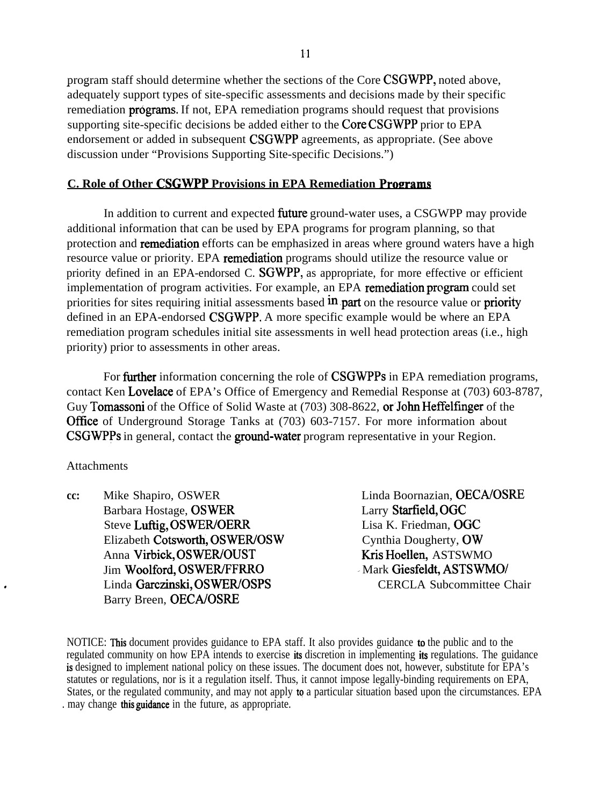program staff should determine whether the sections of the Core CSGWPP, noted above, adequately support types of site-specific assessments and decisions made by their specific remediation **programs.** If not, EPA remediation programs should request that provisions supporting site-specific decisions be added either to the Core CSGWPP prior to EPA endorsement or added in subsequent CSGWPP agreements, as appropriate. (See above discussion under "Provisions Supporting Site-specific Decisions.")

### **C. Role of Other CSGWPP Provisions in EPA Remediation Programs**

additional information that can be used by EPA programs for program planning, so that In addition to current and expected **future** ground-water uses, a CSGWPP may provide protection and **remediation** efforts can be emphasized in areas where ground waters have a high resource value or priority. EPA remediation programs should utilize the resource value or priority defined in an EPA-endorsed C. SGWPP, as appropriate, for more effective or efficient implementation of program activities. For example, an EPA remediation program could set priorities for sites requiring initial assessments based  $\text{in}$  part on the resource value or priority defined in an EPA-endorsed CSGWPP. A more specific example would be where an EPA remediation program schedules initial site assessments in well head protection areas (i.e., high priority) prior to assessments in other areas.

For **further** information concerning the role of **CSGWPPs** in EPA remediation programs, contact Ken Lovelace of EPA's Office of Emergency and Remedial Response at (703) 603-8787, Guy Tomassoni of the Office of Solid Waste at (703) 308-8622, or John Heffelfinger of the Office of Underground Storage Tanks at (703) 603-7157. For more information about CSGWPPs in general, contact the **ground-water** program representative in your Region.

### Attachments

.

**cc:**  Mike Shapiro, OSWER Barbara Hostage, OSWER Steve Luftig, OSWER/OERR Elizabeth Cotsworth, OSWER/OSW Anna Virbick, OSWER/OUST Jim Woolford, OSWER/FFRRO Linda Garczinski, OSWER/OSPS Barry Breen, OECA/OSRE

Linda Boornazian, OECA/OSRE Larry Starfield, OGC Lisa K. Friedman, OGC Cynthia Dougherty, OW Kris Hoellen, ASTSWMO ~ Mark Giesfeldt, ASTSWMO/ CERCLA Subcommittee Chair

NOTICE: This document provides guidance to EPA staff. It also provides guidance to the public and to the regulated community on how EPA intends to exercise its discretion in implementing its regulations. The guidance is designed to implement national policy on these issues. The document does not, however, substitute for EPA's statutes or regulations, nor is it a regulation itself. Thus, it cannot impose legally-binding requirements on EPA, States, or the regulated community, and may not apply to a particular situation based upon the circumstances. EPA . may change this guidance in the future, as appropriate.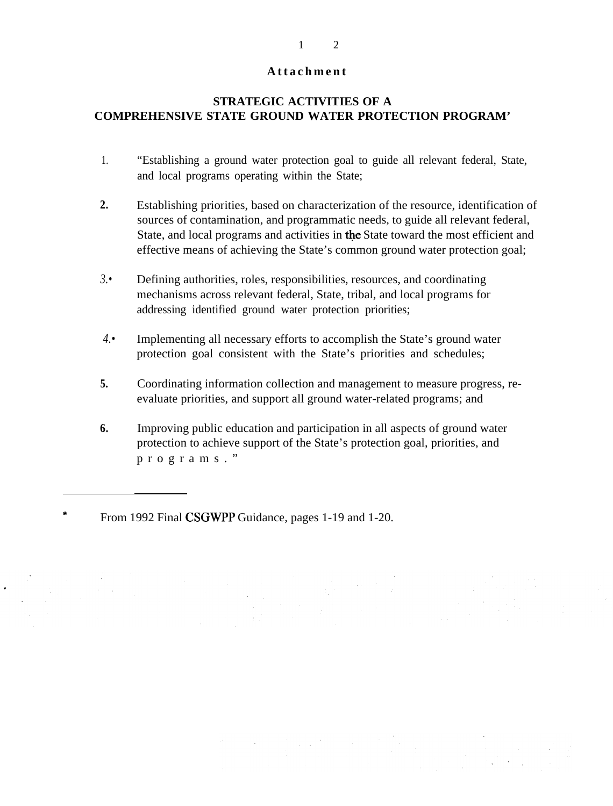### Attachment

### **STRATEGIC ACTIVITIES OF A COMPREHENSIVE STATE GROUND WATER PROTECTION PROGRAM'**

- 1. "Establishing a ground water protection goal to guide all relevant federal, State, and local programs operating within the State;
- **2.** Establishing priorities, based on characterization of the resource, identification of sources of contamination, and programmatic needs, to guide all relevant federal, State, and local programs and activities in the State toward the most efficient and effective means of achieving the State's common ground water protection goal;
- *3.•* Defining authorities, roles, responsibilities, resources, and coordinating mechanisms across relevant federal, State, tribal, and local programs for addressing identified ground water protection priorities;
- *4.•* Implementing all necessary efforts to accomplish the State's ground water protection goal consistent with the State's priorities and schedules;
- **5.**  Coordinating information collection and management to measure progress, reevaluate priorities, and support all ground water-related programs; and
- **6.** Improving public education and participation in all aspects of ground water protection to achieve support of the State's protection goal, priorities, and programs. "

From 1992 Final CSGWPP Guidance, pages 1-19 and 1-20.

#### 1 2